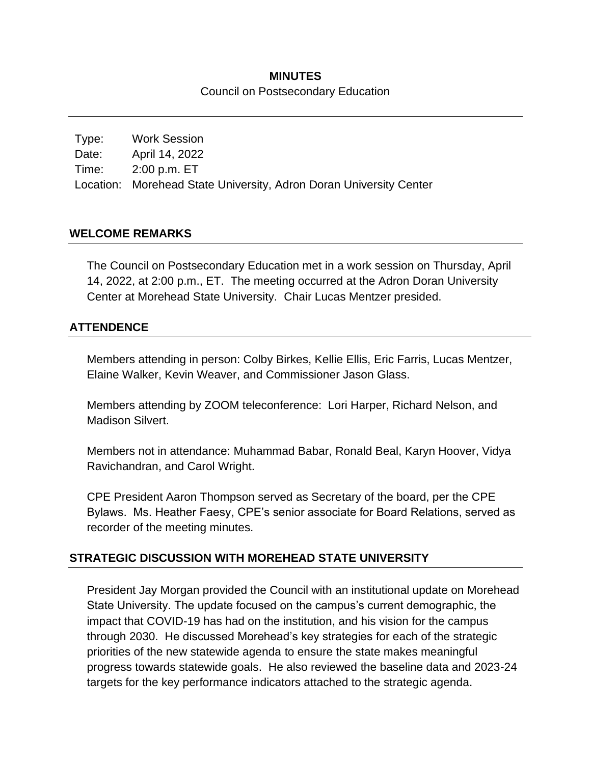## **MINUTES** Council on Postsecondary Education

Type: Work Session Date: April 14, 2022 Time: 2:00 p.m. ET Location: Morehead State University, Adron Doran University Center

### **WELCOME REMARKS**

The Council on Postsecondary Education met in a work session on Thursday, April 14, 2022, at 2:00 p.m., ET. The meeting occurred at the Adron Doran University Center at Morehead State University. Chair Lucas Mentzer presided.

#### **ATTENDENCE**

Members attending in person: Colby Birkes, Kellie Ellis, Eric Farris, Lucas Mentzer, Elaine Walker, Kevin Weaver, and Commissioner Jason Glass.

Members attending by ZOOM teleconference: Lori Harper, Richard Nelson, and Madison Silvert.

Members not in attendance: Muhammad Babar, Ronald Beal, Karyn Hoover, Vidya Ravichandran, and Carol Wright.

CPE President Aaron Thompson served as Secretary of the board, per the CPE Bylaws. Ms. Heather Faesy, CPE's senior associate for Board Relations, served as recorder of the meeting minutes.

### **STRATEGIC DISCUSSION WITH MOREHEAD STATE UNIVERSITY**

President Jay Morgan provided the Council with an institutional update on Morehead State University. The update focused on the campus's current demographic, the impact that COVID-19 has had on the institution, and his vision for the campus through 2030. He discussed Morehead's key strategies for each of the strategic priorities of the new statewide agenda to ensure the state makes meaningful progress towards statewide goals. He also reviewed the baseline data and 2023-24 targets for the key performance indicators attached to the strategic agenda.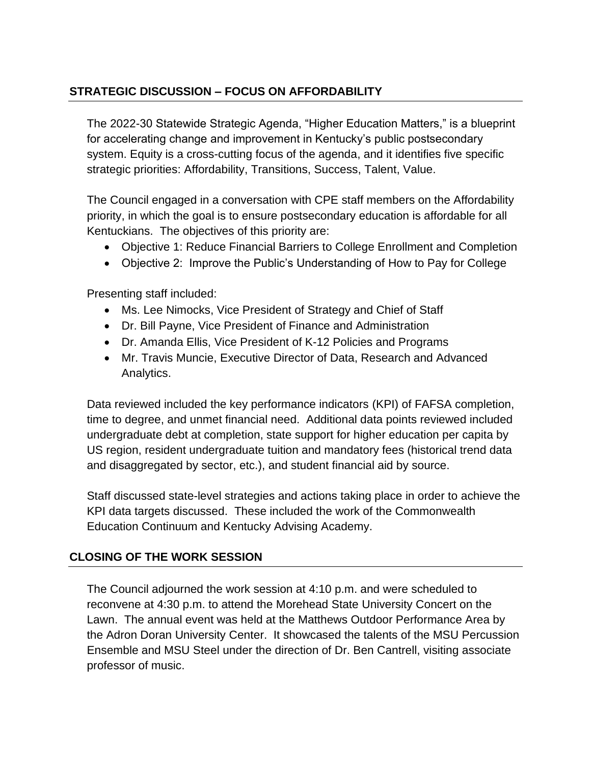# **STRATEGIC DISCUSSION – FOCUS ON AFFORDABILITY**

The 2022-30 Statewide Strategic Agenda, "Higher Education Matters," is a blueprint for accelerating change and improvement in Kentucky's public postsecondary system. Equity is a cross-cutting focus of the agenda, and it identifies five specific strategic priorities: Affordability, Transitions, Success, Talent, Value.

The Council engaged in a conversation with CPE staff members on the Affordability priority, in which the goal is to ensure postsecondary education is affordable for all Kentuckians. The objectives of this priority are:

- Objective 1: Reduce Financial Barriers to College Enrollment and Completion
- Objective 2: Improve the Public's Understanding of How to Pay for College

Presenting staff included:

- Ms. Lee Nimocks, Vice President of Strategy and Chief of Staff
- Dr. Bill Payne, Vice President of Finance and Administration
- Dr. Amanda Ellis, Vice President of K-12 Policies and Programs
- Mr. Travis Muncie, Executive Director of Data, Research and Advanced Analytics.

Data reviewed included the key performance indicators (KPI) of FAFSA completion, time to degree, and unmet financial need. Additional data points reviewed included undergraduate debt at completion, state support for higher education per capita by US region, resident undergraduate tuition and mandatory fees (historical trend data and disaggregated by sector, etc.), and student financial aid by source.

Staff discussed state-level strategies and actions taking place in order to achieve the KPI data targets discussed. These included the work of the Commonwealth Education Continuum and Kentucky Advising Academy.

## **CLOSING OF THE WORK SESSION**

The Council adjourned the work session at 4:10 p.m. and were scheduled to reconvene at 4:30 p.m. to attend the Morehead State University Concert on the Lawn. The annual event was held at the Matthews Outdoor Performance Area by the Adron Doran University Center. It showcased the talents of the MSU Percussion Ensemble and MSU Steel under the direction of Dr. Ben Cantrell, visiting associate professor of music.